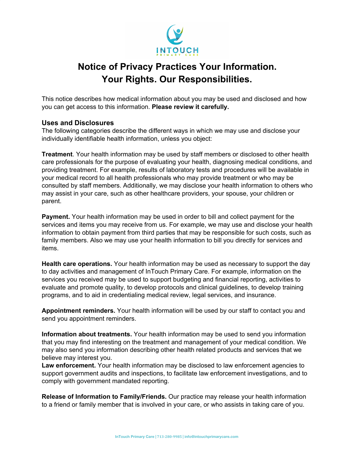

# **Notice of Privacy Practices Your Information. Your Rights. Our Responsibilities.**

This notice describes how medical information about you may be used and disclosed and how you can get access to this information. **Please review it carefully.**

## **Uses and Disclosures**

The following categories describe the different ways in which we may use and disclose your individually identifiable health information, unless you object:

**Treatment**. Your health information may be used by staff members or disclosed to other health care professionals for the purpose of evaluating your health, diagnosing medical conditions, and providing treatment. For example, results of laboratory tests and procedures will be available in your medical record to all health professionals who may provide treatment or who may be consulted by staff members. Additionally, we may disclose your health information to others who may assist in your care, such as other healthcare providers, your spouse, your children or parent.

**Payment.** Your health information may be used in order to bill and collect payment for the services and items you may receive from us. For example, we may use and disclose your health information to obtain payment from third parties that may be responsible for such costs, such as family members. Also we may use your health information to bill you directly for services and items.

**Health care operations.** Your health information may be used as necessary to support the day to day activities and management of InTouch Primary Care. For example, information on the services you received may be used to support budgeting and financial reporting, activities to evaluate and promote quality, to develop protocols and clinical guidelines, to develop training programs, and to aid in credentialing medical review, legal services, and insurance.

**Appointment reminders.** Your health information will be used by our staff to contact you and send you appointment reminders.

**Information about treatments.** Your health information may be used to send you information that you may find interesting on the treatment and management of your medical condition. We may also send you information describing other health related products and services that we believe may interest you.

**Law enforcement.** Your health information may be disclosed to law enforcement agencies to support government audits and inspections, to facilitate law enforcement investigations, and to comply with government mandated reporting.

**Release of Information to Family/Friends.** Our practice may release your health information to a friend or family member that is involved in your care, or who assists in taking care of you.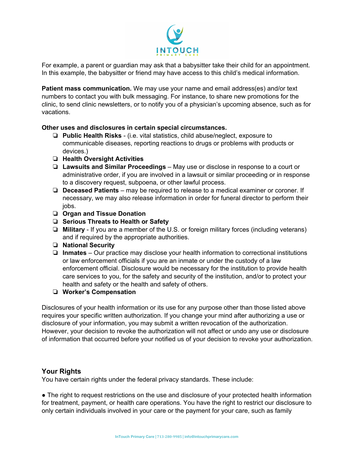

For example, a parent or guardian may ask that a babysitter take their child for an appointment. In this example, the babysitter or friend may have access to this child's medical information.

**Patient mass communication.** We may use your name and email address(es) and/or text numbers to contact you with bulk messaging. For instance, to share new promotions for the clinic, to send clinic newsletters, or to notify you of a physician's upcoming absence, such as for vacations.

#### **Other uses and disclosures in certain special circumstances.**

- ❏ **Public Health Risks** (i.e. vital statistics, child abuse/neglect, exposure to communicable diseases, reporting reactions to drugs or problems with products or devices.)
- ❏ **Health Oversight Activities**
- ❏ **Lawsuits and Similar Proceedings** May use or disclose in response to a court or administrative order, if you are involved in a lawsuit or similar proceeding or in response to a discovery request, subpoena, or other lawful process.
- ❏ **Deceased Patients** may be required to release to a medical examiner or coroner. If necessary, we may also release information in order for funeral director to perform their jobs.
- ❏ **Organ and Tissue Donation**
- ❏ **Serious Threats to Health or Safety**
- ❏ **Military** If you are a member of the U.S. or foreign military forces (including veterans) and if required by the appropriate authorities.
- ❏ **National Security**
- ❏ **Inmates** Our practice may disclose your health information to correctional institutions or law enforcement officials if you are an inmate or under the custody of a law enforcement official. Disclosure would be necessary for the institution to provide health care services to you, for the safety and security of the institution, and/or to protect your health and safety or the health and safety of others.

#### ❏ **Worker's Compensation**

Disclosures of your health information or its use for any purpose other than those listed above requires your specific written authorization. If you change your mind after authorizing a use or disclosure of your information, you may submit a written revocation of the authorization. However, your decision to revoke the authorization will not affect or undo any use or disclosure of information that occurred before your notified us of your decision to revoke your authorization.

# **Your Rights**

You have certain rights under the federal privacy standards. These include:

• The right to request restrictions on the use and disclosure of your protected health information for treatment, payment, or health care operations. You have the right to restrict our disclosure to only certain individuals involved in your care or the payment for your care, such as family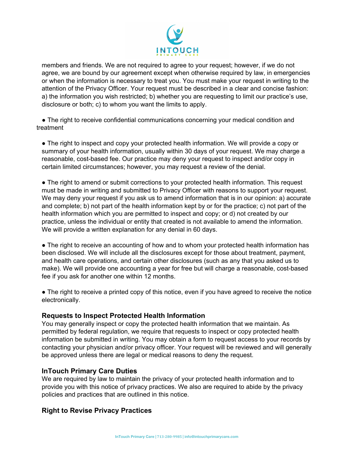

members and friends. We are not required to agree to your request; however, if we do not agree, we are bound by our agreement except when otherwise required by law, in emergencies or when the information is necessary to treat you. You must make your request in writing to the attention of the Privacy Officer. Your request must be described in a clear and concise fashion: a) the information you wish restricted; b) whether you are requesting to limit our practice's use, disclosure or both; c) to whom you want the limits to apply.

• The right to receive confidential communications concerning your medical condition and treatment

● The right to inspect and copy your protected health information. We will provide a copy or summary of your health information, usually within 30 days of your request. We may charge a reasonable, cost-based fee. Our practice may deny your request to inspect and/or copy in certain limited circumstances; however, you may request a review of the denial.

• The right to amend or submit corrections to your protected health information. This request must be made in writing and submitted to Privacy Officer with reasons to support your request. We may deny your request if you ask us to amend information that is in our opinion: a) accurate and complete; b) not part of the health information kept by or for the practice; c) not part of the health information which you are permitted to inspect and copy; or d) not created by our practice, unless the individual or entity that created is not available to amend the information. We will provide a written explanation for any denial in 60 days.

• The right to receive an accounting of how and to whom your protected health information has been disclosed. We will include all the disclosures except for those about treatment, payment, and health care operations, and certain other disclosures (such as any that you asked us to make). We will provide one accounting a year for free but will charge a reasonable, cost-based fee if you ask for another one within 12 months.

• The right to receive a printed copy of this notice, even if you have agreed to receive the notice electronically.

#### **Requests to Inspect Protected Health Information**

You may generally inspect or copy the protected health information that we maintain. As permitted by federal regulation, we require that requests to inspect or copy protected health information be submitted in writing. You may obtain a form to request access to your records by contacting your physician and/or privacy officer. Your request will be reviewed and will generally be approved unless there are legal or medical reasons to deny the request.

#### **InTouch Primary Care Duties**

We are required by law to maintain the privacy of your protected health information and to provide you with this notice of privacy practices. We also are required to abide by the privacy policies and practices that are outlined in this notice.

# **Right to Revise Privacy Practices**